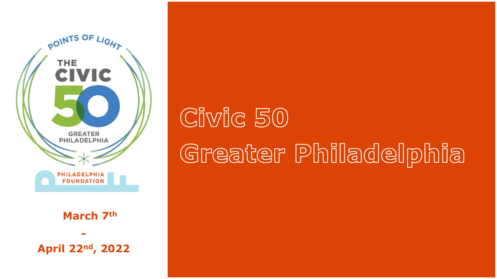

**March 7th**

**- April 22nd, 2022**

# Civic 50 Greater Philadelphia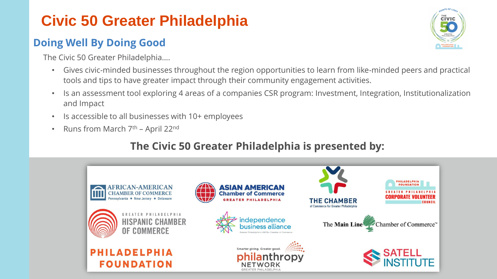# **Civic 50 Greater Philadelphia**

### **Doing Well By Doing Good**

The Civic 50 Greater Philadelphia….

- Gives civic-minded businesses throughout the region opportunities to learn from like-minded peers and practical tools and tips to have greater impact through their community engagement activities.
- Is an assessment tool exploring 4 areas of a companies CSR program: Investment, Integration, Institutionalization and Impact
- Is accessible to all businesses with 10+ employees
- Runs from March  $7<sup>th</sup>$  April 22<sup>nd</sup>

#### **The Civic 50 Greater Philadelphia is presented by:**



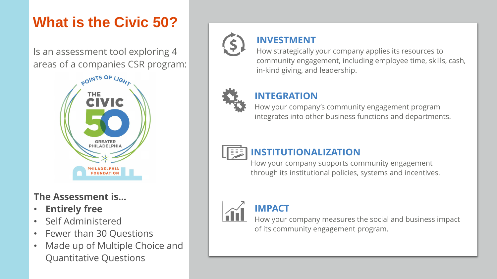# **What is the Civic 50?**

Is an assessment tool exploring 4 areas of a companies CSR program:



#### **The Assessment is…**

- **Entirely free**
- Self Administered
- Fewer than 30 Questions
- Made up of Multiple Choice and Quantitative Questions



#### **INVESTMENT**

How strategically your company applies its resources to community engagement, including employee time, skills, cash, in-kind giving, and leadership.



#### **INTEGRATION**

How your company's community engagement program integrates into other business functions and departments.



#### **INSTITUTIONALIZATION**

How your company supports community engagement through its institutional policies, systems and incentives.



#### **IMPACT**

How your company measures the social and business impact of its community engagement program.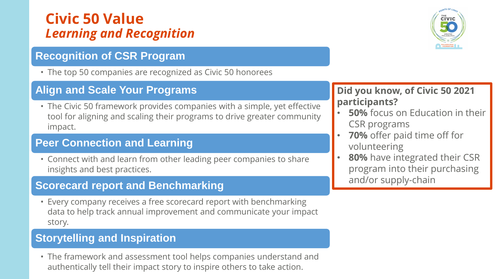# **Civic 50 Value**  *Learning and Recognition*

#### **Recognition of CSR Program**

• The top 50 companies are recognized as Civic 50 honorees

#### **Align and Scale Your Programs**

• The Civic 50 framework provides companies with a simple, yet effective tool for aligning and scaling their programs to drive greater community impact.

#### **Peer Connection and Learning**

• Connect with and learn from other leading peer companies to share insights and best practices.

#### **Scorecard report and Benchmarking**

• Every company receives a free scorecard report with benchmarking data to help track annual improvement and communicate your impact story.

#### **Storytelling and Inspiration**

• The framework and assessment tool helps companies understand and authentically tell their impact story to inspire others to take action.



#### **Did you know, of Civic 50 2021 participants?**

- **50%** focus on Education in their CSR programs
- **70%** offer paid time off for volunteering
- 80% have integrated their CSR program into their purchasing and/or supply-chain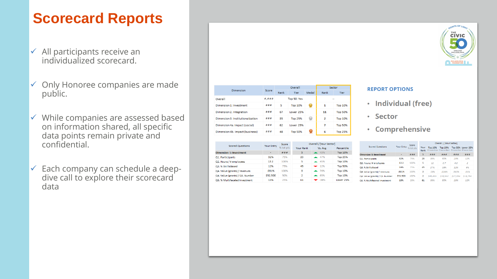# **Scorecard Reports**

- $\checkmark$  All participants receive an individualized scorecard.
- $\checkmark$  Only Honoree companies are made public.
- $\checkmark$  While companies are assessed based on information shared, all specific data points remain private and confidential.
- $\checkmark$  Each company can schedule a deepdive call to explore their scorecard data

|                                   | Score |             | Overall        | Sector |                          |                |
|-----------------------------------|-------|-------------|----------------|--------|--------------------------|----------------|
| <b>Dimension</b>                  |       | Rank        | <b>Tier</b>    | Medal  | Rank                     | <b>Tier</b>    |
| Overall                           | #,### | Top 50: Yes |                |        | $\overline{\phantom{a}}$ |                |
| Dimension 1: Investment           | ###   | 5           | <b>Top 10%</b> |        | 1                        | <b>Top 10%</b> |
| Dimension 2. Integration          | ###   | 67          | Lower 25%      |        | 11                       | <b>Top 50%</b> |
| Dimension 3: Institutionalization | ###   | 35          | <b>Top 25%</b> | ₩      | $\overline{2}$           | <b>Top 10%</b> |
| Dimension 4a. Impact (social)     | ###   | 62          | Lower 25%      |        | 7                        | <b>Top 50%</b> |
| Dimension 4b. Impact (business)   | ###   | 48          | <b>Top 50%</b> |        | 6                        | <b>Top 25%</b> |

| <b>Scored Questions</b>         | <b>Your Entry</b> | Score     | Overall / [Your Sector] |                 |                |  |  |
|---------------------------------|-------------------|-----------|-------------------------|-----------------|----------------|--|--|
|                                 |                   | % tot pts | <b>Your Rank</b>        | Vs. Avg.        | Percentile     |  |  |
| <b>Dimension 1: Investment</b>  | ۰                 | ###       | 5                       | 43%             | <b>Top 10%</b> |  |  |
| Q1. Participants                | 32%               | 75%       | 23                      | 47%             | <b>Top 25%</b> |  |  |
| Q2. Hours / # employees         | 13.2              | 100%      | 5                       | $-45%$          | <b>Top 10%</b> |  |  |
| Q3. % Skills Based              | 12%               | 75%       | 45                      | $-12%$          | <b>Top 50%</b> |  |  |
| Q4. Value (grants) / revenues   | 031%              | 100%      | 3                       | <b>26%</b>      | Top 10%        |  |  |
| Q4. Value (grants) / Q5. Number | \$52,500          | 50%       | $\overline{2}$          | $\triangle$ 65% | <b>Top 10%</b> |  |  |
| Q6. % Multifaceted Investment   | 13%               | 25%       | 61                      | $-38%$          | Lower 25%      |  |  |
|                                 |                   |           |                         |                 |                |  |  |

| <b>REPORT OPTIONS</b> |  |  |  |
|-----------------------|--|--|--|
|                       |  |  |  |

- Individual (free)
- Sector
- Comprehensive

| <b>Scored Questions</b>         | <b>Your Entry</b> | Score<br>% tot pts | Overall / [Your Sector] |                |                                                                |            |                   |  |
|---------------------------------|-------------------|--------------------|-------------------------|----------------|----------------------------------------------------------------|------------|-------------------|--|
|                                 |                   |                    | Your<br>Rank            | <b>Top 10%</b> | Top 25%<br>if more than if more than if more than if more than |            | Top 50% Lower 25% |  |
| <b>Dimension 1: Investment</b>  | ۰                 | ###                | 5                       | ###            | 类类类                                                            | <b>###</b> | ###               |  |
| <b>Q1. Participants</b>         | 32%               | 75%                | 23                      | 38%            | 30%                                                            | 23%        | 12%               |  |
| Q2. Hours / # employees         | 13.2              | 100%               | 5                       | 12             | 6.7                                                            | 4.6        | $\overline{2}$    |  |
| Q3. % Skills Based              | 19%               | 75%                | 45                      | 27%            | 18%                                                            | 128        | 6%                |  |
| Q4. Value (grants) / revenues   | .031%             | 100%               | з                       | .03%           | .024%                                                          | .018%      | .01%              |  |
| Q4. Value (grants) / Q5. Number | \$52,500          | 100%               | 2                       | \$45,455       | 538,542                                                        | \$27,054   | \$18,754          |  |
| Q6, % Multifaceted Investment   | 13%               | 25%                | 61                      | 38%            | 30%                                                            | 23%        | 12%               |  |

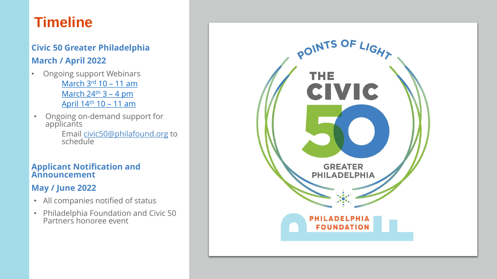# **Timeline**

#### **Civic 50 Greater Philadelphia March / April 2022**

- Ongoing support Webinars [March 3](https://www.eventbrite.com/e/civic-50-greater-philadelphia-2022-introduction-and-information-session-tickets-231780390387)rd 10 – 11 am [March 24](https://www.eventbrite.com/e/civic-50-greater-philadelphia-2022-information-and-support-webinar-tickets-231781714347)<sup>th</sup> 3 - 4 pm [April 14](https://www.eventbrite.com/e/civic-50-greater-philadelphia-2022-information-and-support-webinar-tickets-231784813617)th 10 – 11 am
- Ongoing on-demand support for applicants

Email [civic50@philafound.org](mailto:civic50@philafound.org) to schedule

#### **Applicant Notification and Announcement**

#### **May / June 2022**

- All companies notified of status
- Philadelphia Foundation and Civic 50 Partners honoree event

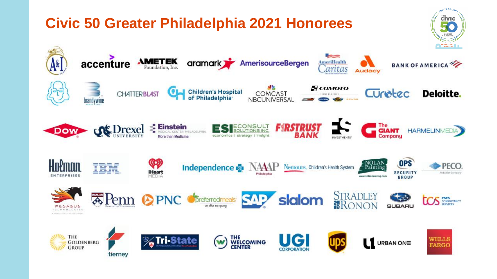#### OINTS OF LIG **CIVIC Civic 50 Greater Philadelphia 2021 Honorees** GREATER<br>IILADELPH PHILADELPHIA  $\Rightarrow$ accenture  $A\&$ **AMETEK**<br>Foundation, Inc. aramark AmerisourceBergen **AmeriHealth BANK OF AMERICA** *caritas* **Audacy Б** сомото Children's Hospital Curotec Deloitte. **CHATTERBLAST COMCAST NBCUNIVERSAL** brandywine  $\overline{\phantom{a}}$  The GIANT **OC** Drexel **Einstein**<br>Se medical center philadelphia CONSULT **Dow HARMELINMEDIA OLUTIONS INC** economics | strategy | insight **INVESTMENTS**  $\circled{\scriptstyle\circ}$ **OPS** Holman NOLAN<br>Painting **Independence & NAAP** Nemours, Children's Health System PECO. iHeart **SECURITY** An Exelen Company **ENTERPRISES** www.nolanpainting.com **GROUP** STRADLEY<br>RONON **No Penn OPNC** SAP slalom **COS** TATA CONSULTANCY preferredmeals an elior compani **SUBARU** PEGASUS **TECHNOLOGIES** A TECHNICOL ALLITICAL CORNAL THE THE<br>WELCOMING<br>CENTER **Tri-State** WELLS (w) **GOLDENBERG** URBAN ONE **FARGO GROUP** tierney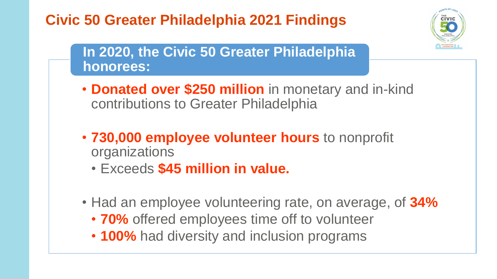# **Civic 50 Greater Philadelphia 2021 Findings**



# **In 2020, the Civic 50 Greater Philadelphia honorees:**

- **Donated over \$250 million** in monetary and in-kind contributions to Greater Philadelphia
- **730,000 employee volunteer hours** to nonprofit organizations
	- Exceeds **\$45 million in value.**
- Had an employee volunteering rate, on average, of **34%**
	- **70%** offered employees time off to volunteer
	- **100%** had diversity and inclusion programs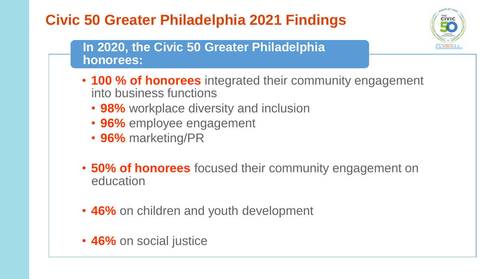# **Civic 50 Greater Philadelphia 2021 Findings**



#### **In 2020, the Civic 50 Greater Philadelphia honorees:**

- **100 % of honorees** integrated their community engagement into business functions
	- **98%** workplace diversity and inclusion
	- **96%** employee engagement
	- **96%** marketing/PR
- **50% of honorees** focused their community engagement on education
- **46%** on children and youth development
- **46%** on social justice